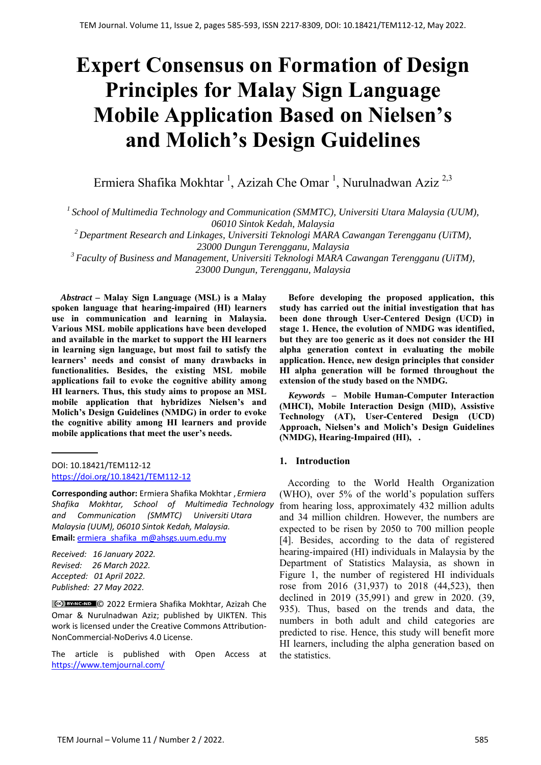# **Expert Consensus on Formation of Design Principles for Malay Sign Language Mobile Application Based on Nielsen's and Molich's Design Guidelines**

Ermiera Shafika Mokhtar<sup>1</sup>, Azizah Che Omar<sup>1</sup>, Nurulnadwan Aziz<sup>2,3</sup>

*1 School of Multimedia Technology and Communication (SMMTC), Universiti Utara Malaysia (UUM), 06010 Sintok Kedah, Malaysia* 

*2 Department Research and Linkages, Universiti Teknologi MARA Cawangan Terengganu (UiTM), 23000 Dungun Terengganu, Malaysia* 

*3 Faculty of Business and Management, Universiti Teknologi MARA Cawangan Terengganu (UiTM), 23000 Dungun, Terengganu, Malaysia*

*Abstract –* **Malay Sign Language (MSL) is a Malay spoken language that hearing-impaired (HI) learners use in communication and learning in Malaysia. Various MSL mobile applications have been developed and available in the market to support the HI learners in learning sign language, but most fail to satisfy the learners' needs and consist of many drawbacks in functionalities. Besides, the existing MSL mobile applications fail to evoke the cognitive ability among HI learners. Thus, this study aims to propose an MSL mobile application that hybridizes Nielsen's and Molich's Design Guidelines (NMDG) in order to evoke the cognitive ability among HI learners and provide mobile applications that meet the user's needs.** 

DOI: 10.18421/TEM112-12 [https://doi.org/10.18421/TEM112](https://doi.org/10.18421/TEM112-12)-12

**Corresponding author:** Ermiera Shafika Mokhtar , *Ermiera Shafika Mokhtar, School of Multimedia Technology and Communication (SMMTC) Universiti Utara Malaysia (UUM), 06010 Sintok Kedah, Malaysia.*  **Email:** [ermiera\\_shafika\\_m@](ermiera_shafika_m@ahsgs.uum.edu.my)ahsgs.uum.edu.my

*Received: 16 January 2022. Revised: 26 March 2022. Accepted: 01 April 2022. Published: 27 May 2022.* 

© 2022 Ermiera Shafika Mokhtar, Azizah Che Omar & Nurulnadwan Aziz; published by UIKTEN. This work is licensed under the Creative Commons Attribution-NonCommercial‐NoDerivs 4.0 License.

The article is published with Open Access at https://www.temjournal.com/

**Before developing the proposed application, this study has carried out the initial investigation that has been done through User-Centered Design (UCD) in stage 1. Hence, the evolution of NMDG was identified, but they are too generic as it does not consider the HI alpha generation context in evaluating the mobile application. Hence, new design principles that consider HI alpha generation will be formed throughout the extension of the study based on the NMDG.** 

*Keywords –* **Mobile Human-Computer Interaction (MHCI), Mobile Interaction Design (MID), Assistive Technology (AT), User-Centered Design (UCD) Approach, Nielsen's and Molich's Design Guidelines (NMDG), Hearing-Impaired (HI), .** 

### **1. Introduction**

According to the World Health Organization (WHO), over 5% of the world's population suffers from hearing loss, approximately 432 million adults and 34 million children. However, the numbers are expected to be risen by 2050 to 700 million people [4]. Besides, according to the data of registered hearing-impaired (HI) individuals in Malaysia by the Department of Statistics Malaysia, as shown in Figure 1, the number of registered HI individuals rose from 2016 (31,937) to 2018 (44,523), then declined in 2019 (35,991) and grew in 2020. (39, 935). Thus, based on the trends and data, the numbers in both adult and child categories are predicted to rise. Hence, this study will benefit more HI learners, including the alpha generation based on the statistics.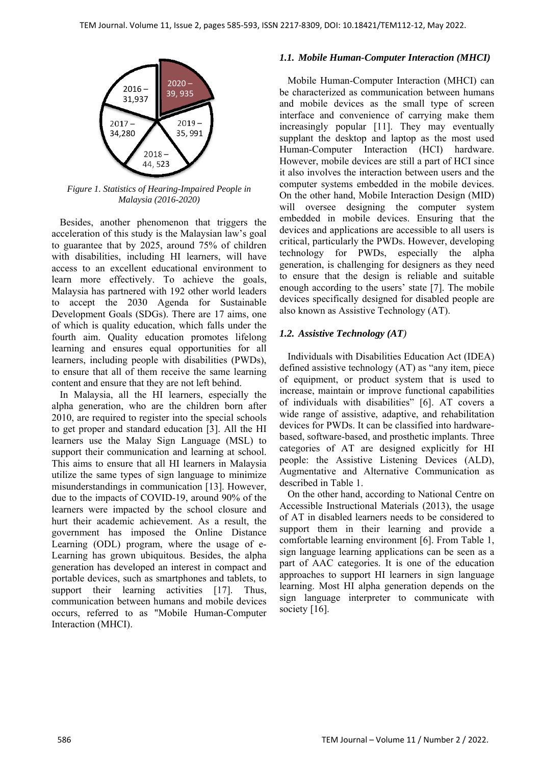

*Figure 1. Statistics of Hearing-Impaired People in Malaysia (2016-2020)* 

Besides, another phenomenon that triggers the acceleration of this study is the Malaysian law's goal to guarantee that by 2025, around 75% of children with disabilities, including HI learners, will have access to an excellent educational environment to learn more effectively. To achieve the goals, Malaysia has partnered with 192 other world leaders to accept the 2030 Agenda for Sustainable Development Goals (SDGs). There are 17 aims, one of which is quality education, which falls under the fourth aim. Quality education promotes lifelong learning and ensures equal opportunities for all learners, including people with disabilities (PWDs), to ensure that all of them receive the same learning content and ensure that they are not left behind.

In Malaysia, all the HI learners, especially the alpha generation, who are the children born after 2010, are required to register into the special schools to get proper and standard education [3]. All the HI learners use the Malay Sign Language (MSL) to support their communication and learning at school. This aims to ensure that all HI learners in Malaysia utilize the same types of sign language to minimize misunderstandings in communication [13]. However, due to the impacts of COVID-19, around 90% of the learners were impacted by the school closure and hurt their academic achievement. As a result, the government has imposed the Online Distance Learning (ODL) program, where the usage of e-Learning has grown ubiquitous. Besides, the alpha generation has developed an interest in compact and portable devices, such as smartphones and tablets, to support their learning activities [17]. Thus, communication between humans and mobile devices occurs, referred to as "Mobile Human-Computer Interaction (MHCI).

## *1.1. Mobile Human-Computer Interaction (MHCI)*

Mobile Human-Computer Interaction (MHCI) can be characterized as communication between humans and mobile devices as the small type of screen interface and convenience of carrying make them increasingly popular [11]. They may eventually supplant the desktop and laptop as the most used Human-Computer Interaction (HCI) hardware. However, mobile devices are still a part of HCI since it also involves the interaction between users and the computer systems embedded in the mobile devices. On the other hand, Mobile Interaction Design (MID) will oversee designing the computer system embedded in mobile devices. Ensuring that the devices and applications are accessible to all users is critical, particularly the PWDs. However, developing technology for PWDs, especially the alpha generation, is challenging for designers as they need to ensure that the design is reliable and suitable enough according to the users' state [7]. The mobile devices specifically designed for disabled people are also known as Assistive Technology (AT).

## *1.2. Assistive Technology (AT)*

Individuals with Disabilities Education Act (IDEA) defined assistive technology (AT) as "any item, piece of equipment, or product system that is used to increase, maintain or improve functional capabilities of individuals with disabilities" [6]. AT covers a wide range of assistive, adaptive, and rehabilitation devices for PWDs. It can be classified into hardwarebased, software-based, and prosthetic implants. Three categories of AT are designed explicitly for HI people: the Assistive Listening Devices (ALD), Augmentative and Alternative Communication as described in Table 1.

On the other hand, according to National Centre on Accessible Instructional Materials (2013), the usage of AT in disabled learners needs to be considered to support them in their learning and provide a comfortable learning environment [6]. From Table 1, sign language learning applications can be seen as a part of AAC categories. It is one of the education approaches to support HI learners in sign language learning. Most HI alpha generation depends on the sign language interpreter to communicate with society [16].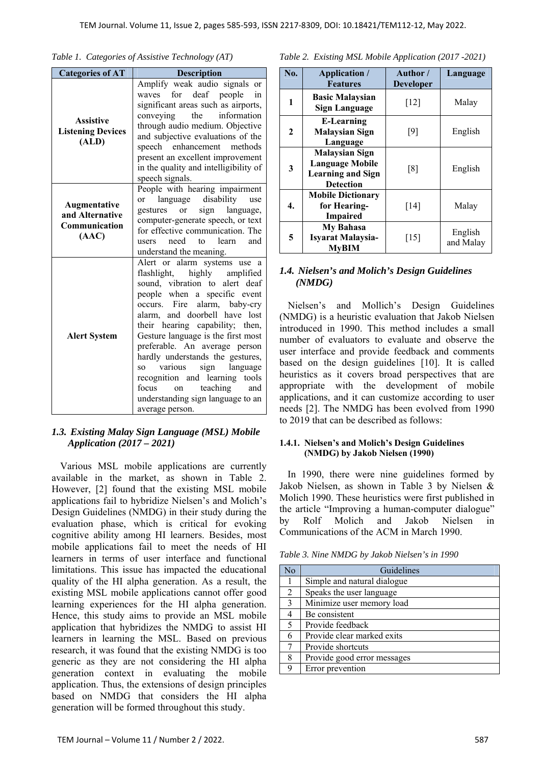|  |  |  | Table 1. Categories of Assistive Technology (AT) |  |
|--|--|--|--------------------------------------------------|--|
|--|--|--|--------------------------------------------------|--|

| <b>Categories of AT</b>                                   | <b>Description</b>                                                                                                                                                                                                                                                                                                                                                                                                                                                                                                       |
|-----------------------------------------------------------|--------------------------------------------------------------------------------------------------------------------------------------------------------------------------------------------------------------------------------------------------------------------------------------------------------------------------------------------------------------------------------------------------------------------------------------------------------------------------------------------------------------------------|
| <b>Assistive</b><br><b>Listening Devices</b><br>(ALD)     | Amplify weak audio signals or<br>waves for deaf people in<br>significant areas such as airports,<br>the information<br>conveying<br>through audio medium. Objective<br>and subjective evaluations of the<br>speech enhancement<br>methods<br>present an excellent improvement<br>in the quality and intelligibility of<br>speech signals.                                                                                                                                                                                |
| Augmentative<br>and Alternative<br>Communication<br>(AAC) | People with hearing impairment<br>language disability<br>use<br><sub>or</sub><br>language,<br>gestures<br>or<br>sign<br>computer-generate speech, or text<br>for effective communication. The<br>need to learn and<br>users<br>understand the meaning.                                                                                                                                                                                                                                                                   |
| <b>Alert System</b>                                       | Alert or alarm systems use a<br>flashlight,<br>highly amplified<br>sound, vibration to alert deaf<br>people when a specific event<br>Fire<br>alarm, baby-cry<br>occurs.<br>alarm, and doorbell have lost<br>their hearing capability; then,<br>Gesture language is the first most<br>preferable. An average person<br>hardly understands the gestures,<br>various<br>sign<br>language<br>SO.<br>recognition and learning tools<br>teaching<br>focus<br>and<br>on<br>understanding sign language to an<br>average person. |

### *1.3. Existing Malay Sign Language (MSL) Mobile Application (2017 – 2021)*

Various MSL mobile applications are currently available in the market, as shown in Table 2. However, [2] found that the existing MSL mobile applications fail to hybridize Nielsen's and Molich's Design Guidelines (NMDG) in their study during the evaluation phase, which is critical for evoking cognitive ability among HI learners. Besides, most mobile applications fail to meet the needs of HI learners in terms of user interface and functional limitations. This issue has impacted the educational quality of the HI alpha generation. As a result, the existing MSL mobile applications cannot offer good learning experiences for the HI alpha generation. Hence, this study aims to provide an MSL mobile application that hybridizes the NMDG to assist HI learners in learning the MSL. Based on previous research, it was found that the existing NMDG is too generic as they are not considering the HI alpha generation context in evaluating the mobile application. Thus, the extensions of design principles based on NMDG that considers the HI alpha generation will be formed throughout this study.

| Table 2. Existing MSL Mobile Application (2017 -2021) |  |  |  |
|-------------------------------------------------------|--|--|--|

| No.                     | Application /<br><b>Features</b>                                                                | Author /<br><b>Developer</b> | Language             |
|-------------------------|-------------------------------------------------------------------------------------------------|------------------------------|----------------------|
| 1                       | <b>Basic Malaysian</b><br><b>Sign Language</b>                                                  | $[12]$                       | Malay                |
| $\mathbf{2}$            | <b>E-Learning</b><br><b>Malaysian Sign</b><br>Language                                          | [9]                          | English              |
| $\overline{\mathbf{3}}$ | <b>Malaysian Sign</b><br><b>Language Mobile</b><br><b>Learning and Sign</b><br><b>Detection</b> | [8]                          | English              |
| 4.                      | <b>Mobile Dictionary</b><br>for Hearing-<br><b>Impaired</b>                                     | [14]                         | Malay                |
| 5                       | <b>My Bahasa</b><br><b>Isyarat Malaysia-</b><br><b>MvBIM</b>                                    | $[15]$                       | English<br>and Malay |

#### *1.4. Nielsen's and Molich's Design Guidelines (NMDG)*

Nielsen's and Mollich's Design Guidelines (NMDG) is a heuristic evaluation that Jakob Nielsen introduced in 1990. This method includes a small number of evaluators to evaluate and observe the user interface and provide feedback and comments based on the design guidelines [10]. It is called heuristics as it covers broad perspectives that are appropriate with the development of mobile applications, and it can customize according to user needs [2]. The NMDG has been evolved from 1990 to 2019 that can be described as follows:

#### **1.4.1. Nielsen's and Molich's Design Guidelines (NMDG) by Jakob Nielsen (1990)**

In 1990, there were nine guidelines formed by Jakob Nielsen, as shown in Table 3 by Nielsen & Molich 1990. These heuristics were first published in the article "Improving a human-computer dialogue" by Rolf Molich and Jakob Nielsen in Communications of the ACM in March 1990.

*Table 3. Nine NMDG by Jakob Nielsen's in 1990* 

| N <sub>o</sub> | Guidelines                  |
|----------------|-----------------------------|
|                | Simple and natural dialogue |
| 2              | Speaks the user language    |
| $\mathcal{F}$  | Minimize user memory load   |
|                | Be consistent               |
| -5             | Provide feedback            |
| 6              | Provide clear marked exits  |
|                | Provide shortcuts           |
| 8              | Provide good error messages |
|                | Error prevention            |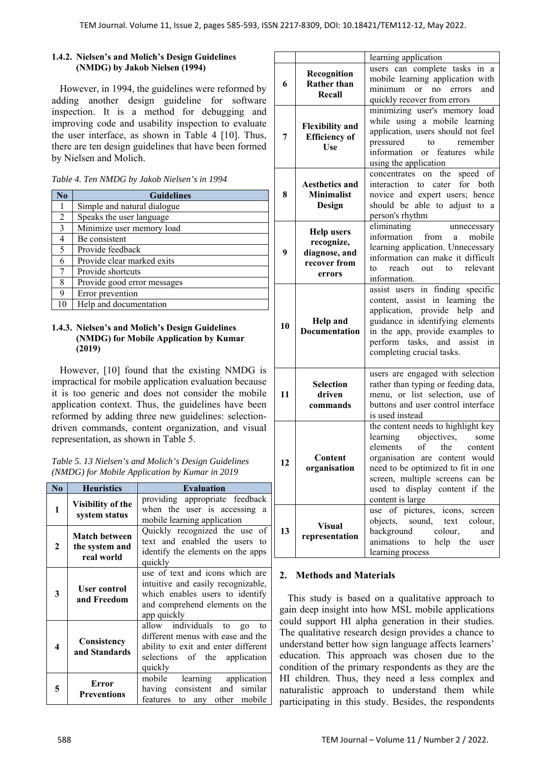### **1.4.2. Nielsen's and Molich's Design Guidelines (NMDG) by Jakob Nielsen (1994)**

However, in 1994, the guidelines were reformed by adding another design guideline for software inspection. It is a method for debugging and improving code and usability inspection to evaluate the user interface, as shown in Table 4 [10]. Thus, there are ten design guidelines that have been formed by Nielsen and Molich.

| No           | <b>Guidelines</b>           |
|--------------|-----------------------------|
|              | Simple and natural dialogue |
| 2            | Speaks the user language    |
| $\mathbf{3}$ | Minimize user memory load   |
| 4            | Be consistent               |
| 5            | Provide feedback            |
| 6            | Provide clear marked exits  |
|              | Provide shortcuts           |
| 8            | Provide good error messages |
| 9            | Error prevention            |
| 10           | Help and documentation      |

#### **1.4.3. Nielsen's and Molich's Design Guidelines (NMDG) for Mobile Application by Kumar (2019)**

However, [10] found that the existing NMDG is impractical for mobile application evaluation because it is too generic and does not consider the mobile application context. Thus, the guidelines have been reformed by adding three new guidelines: selectiondriven commands, content organization, and visual representation, as shown in Table 5.

| Table 5. 13 Nielsen's and Molich's Design Guidelines |
|------------------------------------------------------|
| (NMDG) for Mobile Application by Kumar in 2019       |

| N <sub>0</sub> | <b>Heuristics</b>                                                                                                                                                                        | <b>Evaluation</b>                                                                                                                                        |  |  |
|----------------|------------------------------------------------------------------------------------------------------------------------------------------------------------------------------------------|----------------------------------------------------------------------------------------------------------------------------------------------------------|--|--|
| 1              | Visibility of the<br>system status                                                                                                                                                       | providing appropriate feedback<br>when the user is accessing a<br>mobile learning application                                                            |  |  |
| 2              | <b>Match between</b><br>the system and<br>real world                                                                                                                                     | Quickly recognized the use of<br>text and enabled the users to<br>identify the elements on the apps<br>quickly                                           |  |  |
| 3              | use of text and icons which are<br>intuitive and easily recognizable,<br>User control<br>which enables users to identify<br>and Freedom<br>and comprehend elements on the<br>app quickly |                                                                                                                                                          |  |  |
| 4              | Consistency<br>and Standards                                                                                                                                                             | allow individuals to<br>go<br>to<br>different menus with ease and the<br>ability to exit and enter different<br>selections of the application<br>quickly |  |  |
| 5              | Error<br><b>Preventions</b>                                                                                                                                                              | learning<br>application<br>mobile<br>and similar<br>having consistent<br>to any other mobile<br>features                                                 |  |  |

|    |                                                                            | learning application                                                                                                                                                                                                                                                 |  |
|----|----------------------------------------------------------------------------|----------------------------------------------------------------------------------------------------------------------------------------------------------------------------------------------------------------------------------------------------------------------|--|
| 6  | Recognition<br><b>Rather than</b><br>Recall                                | users can complete tasks in a<br>mobile learning application with<br>minimum<br>no errors<br><sub>or</sub><br>and<br>quickly recover from errors                                                                                                                     |  |
| 7  | <b>Flexibility and</b><br><b>Efficiency</b> of<br>Use                      | minimizing user's memory load<br>while using a mobile learning<br>application, users should not feel<br>to<br>pressured<br>remember<br>information or features while<br>using the application                                                                        |  |
| 8  | <b>Aesthetics and</b><br><b>Minimalist</b><br>Design                       | speed $of$<br>concentrates<br>on the<br>interaction to cater<br>for both<br>novice and expert users; hence<br>should be able to adjust to a<br>person's rhythm                                                                                                       |  |
| 9  | <b>Help users</b><br>recognize,<br>diagnose, and<br>recover from<br>errors | eliminating<br>unnecessary<br>information<br>from<br>mobile<br>a<br>learning application. Unnecessary<br>information can make it difficult<br>out to<br>relevant<br>reach<br>to<br>information.                                                                      |  |
| 10 | <b>Help and</b><br><b>Documentation</b>                                    | assist users in finding specific<br>content, assist in learning the<br>application, provide help and<br>guidance in identifying elements<br>in the app, provide examples to<br>perform tasks, and assist<br>in<br>completing crucial tasks.                          |  |
| 11 | <b>Selection</b><br>driven<br>commands                                     | users are engaged with selection<br>rather than typing or feeding data,<br>menu, or list selection, use of<br>buttons and user control interface<br>is used instead                                                                                                  |  |
| 12 | Content<br>organisation                                                    | the content needs to highlight key<br>objectives,<br>learning<br>some<br>elements of the<br>content<br>organisation are content would<br>need to be optimized to fit in one<br>screen, multiple screens can be<br>used to display content if the<br>content is large |  |
| 13 | <b>Visual</b><br>representation                                            | use of pictures, icons,<br>screen<br>objects, sound, text<br>colour,<br>background<br>colour,<br>and<br>animations<br>to help the<br>user<br>learning process                                                                                                        |  |

## **2. Methods and Materials**

This study is based on a qualitative approach to gain deep insight into how MSL mobile applications could support HI alpha generation in their studies. The qualitative research design provides a chance to understand better how sign language affects learners' education. This approach was chosen due to the condition of the primary respondents as they are the HI children. Thus, they need a less complex and naturalistic approach to understand them while participating in this study. Besides, the respondents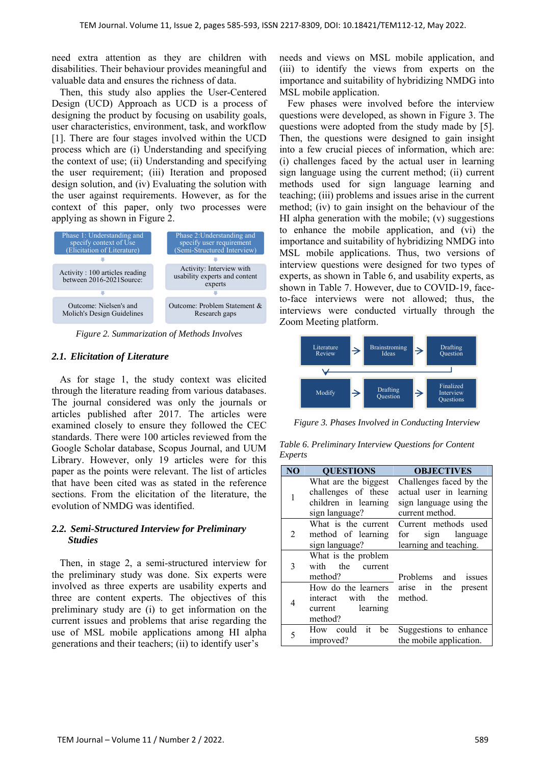need extra attention as they are children with disabilities. Their behaviour provides meaningful and valuable data and ensures the richness of data.

Then, this study also applies the User-Centered Design (UCD) Approach as UCD is a process of designing the product by focusing on usability goals, user characteristics, environment, task, and workflow [1]. There are four stages involved within the UCD process which are (i) Understanding and specifying the context of use; (ii) Understanding and specifying the user requirement; (iii) Iteration and proposed design solution, and (iv) Evaluating the solution with the user against requirements. However, as for the context of this paper, only two processes were applying as shown in Figure 2.



*Figure 2. Summarization of Methods Involves* 

#### *2.1. Elicitation of Literature*

As for stage 1, the study context was elicited through the literature reading from various databases. The journal considered was only the journals or articles published after 2017. The articles were examined closely to ensure they followed the CEC standards. There were 100 articles reviewed from the Google Scholar database, Scopus Journal, and UUM Library. However, only 19 articles were for this paper as the points were relevant. The list of articles that have been cited was as stated in the reference sections. From the elicitation of the literature, the evolution of NMDG was identified.

### *2.2. Semi-Structured Interview for Preliminary Studies*

Then, in stage 2, a semi-structured interview for the preliminary study was done. Six experts were involved as three experts are usability experts and three are content experts. The objectives of this preliminary study are (i) to get information on the current issues and problems that arise regarding the use of MSL mobile applications among HI alpha generations and their teachers; (ii) to identify user's

needs and views on MSL mobile application, and (iii) to identify the views from experts on the importance and suitability of hybridizing NMDG into MSL mobile application.

Few phases were involved before the interview questions were developed, as shown in Figure 3. The questions were adopted from the study made by [5]. Then, the questions were designed to gain insight into a few crucial pieces of information, which are: (i) challenges faced by the actual user in learning sign language using the current method; (ii) current methods used for sign language learning and teaching; (iii) problems and issues arise in the current method; (iv) to gain insight on the behaviour of the HI alpha generation with the mobile; (v) suggestions to enhance the mobile application, and (vi) the importance and suitability of hybridizing NMDG into MSL mobile applications. Thus, two versions of interview questions were designed for two types of experts, as shown in Table 6, and usability experts, as shown in Table 7. However, due to COVID-19, faceto-face interviews were not allowed; thus, the interviews were conducted virtually through the Zoom Meeting platform.



*Figure 3. Phases Involved in Conducting Interview* 

*Table 6. Preliminary Interview Questions for Content Experts* 

| N <sub>O</sub>              | <b>QUESTIONS</b>                                                                      | <b>OBJECTIVES</b>                                                                                |
|-----------------------------|---------------------------------------------------------------------------------------|--------------------------------------------------------------------------------------------------|
| 1                           | What are the biggest<br>challenges of these<br>children in learning<br>sign language? | Challenges faced by the<br>actual user in learning<br>sign language using the<br>current method. |
| $\mathcal{D}_{\mathcal{L}}$ | What is the current<br>method of learning<br>sign language?                           | Current methods used<br>for sign language<br>learning and teaching.                              |
| 3                           | What is the problem<br>with the current<br>method?                                    | Problems and issues                                                                              |
| 4                           | How do the learners<br>interact with the<br>learning<br>current<br>method?            | arise in the present<br>method.                                                                  |
| 5                           | How could it be<br>improved?                                                          | Suggestions to enhance<br>the mobile application.                                                |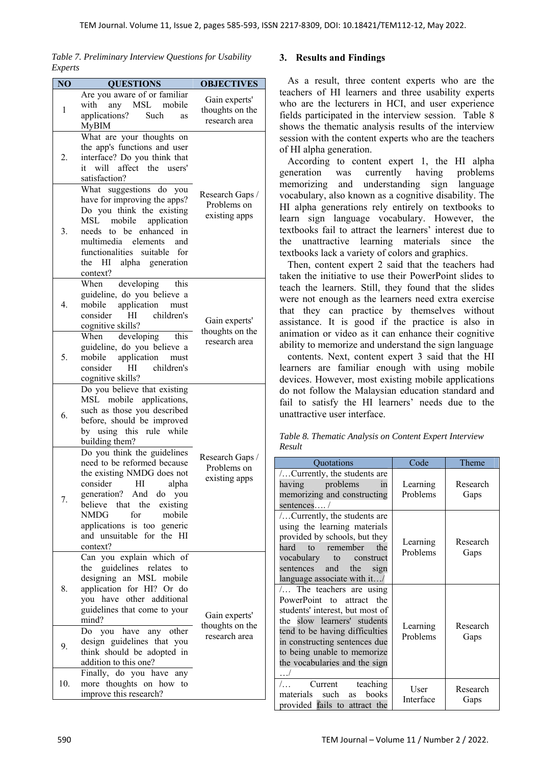*Table 7. Preliminary Interview Questions for Usability Experts* 

| NO  | <b>QUESTIONS</b>                                                                                                                                                                                                                                                      | <b>OBJECTIVES</b>                                 |
|-----|-----------------------------------------------------------------------------------------------------------------------------------------------------------------------------------------------------------------------------------------------------------------------|---------------------------------------------------|
| 1   | Are you aware of or familiar<br>with any MSL mobile<br>applications?<br>Such<br>as<br><b>MyBIM</b>                                                                                                                                                                    | Gain experts'<br>thoughts on the<br>research area |
| 2.  | What are your thoughts on<br>the app's functions and user<br>interface? Do you think that<br>it will affect the users'<br>satisfaction?                                                                                                                               |                                                   |
| 3.  | What suggestions do you<br>have for improving the apps?<br>Do you think the existing<br>mobile<br>application<br>MSL<br>needs to be enhanced<br>in<br>multimedia elements<br>and<br>functionalities suitable for<br>HI alpha generation<br>the<br>context?            | Research Gaps /<br>Problems on<br>existing apps   |
| 4.  | When developing<br>this<br>guideline, do you believe a<br>mobile application<br>must<br>consider<br>children's<br>HI<br>cognitive skills?                                                                                                                             | Gain experts'<br>thoughts on the                  |
| 5.  | When developing this<br>guideline, do you believe a<br>application<br>mobile<br>must<br>children's<br>consider<br>HІ<br>cognitive skills?                                                                                                                             | research area                                     |
| 6.  | $\overline{Do}$ you believe that existing<br>MSL mobile applications,<br>such as those you described<br>before, should be improved<br>by using this rule while<br>building them?                                                                                      |                                                   |
| 7.  | Do you think the guidelines<br>need to be reformed because<br>the existing NMDG does not<br>consider HI alpha<br>generation? And do you<br>believe that the existing<br>NMDG<br>for<br>mobile<br>applications is too generic<br>and unsuitable for the HI<br>context? | Research Gaps /<br>Problems on<br>existing apps   |
| 8.  | Can you explain which of<br>the guidelines relates to<br>designing an MSL mobile<br>application for HI? Or do<br>you have other additional<br>guidelines that come to your<br>mind?                                                                                   | Gain experts'<br>thoughts on the                  |
| 9.  | Do you have any other<br>design guidelines that you<br>think should be adopted in<br>addition to this one?                                                                                                                                                            | research area                                     |
| 10. | Finally, do you have any<br>more thoughts on how to<br>improve this research?                                                                                                                                                                                         |                                                   |

## **3. Results and Findings**

As a result, three content experts who are the teachers of HI learners and three usability experts who are the lecturers in HCI, and user experience fields participated in the interview session. Table 8 shows the thematic analysis results of the interview session with the content experts who are the teachers of HI alpha generation.

According to content expert 1, the HI alpha generation was currently having problems memorizing and understanding sign language vocabulary, also known as a cognitive disability. The HI alpha generations rely entirely on textbooks to learn sign language vocabulary. However, the textbooks fail to attract the learners' interest due to the unattractive learning materials since the textbooks lack a variety of colors and graphics.

Then, content expert 2 said that the teachers had taken the initiative to use their PowerPoint slides to teach the learners. Still, they found that the slides were not enough as the learners need extra exercise that they can practice by themselves without assistance. It is good if the practice is also in animation or video as it can enhance their cognitive ability to memorize and understand the sign language

contents. Next, content expert 3 said that the HI learners are familiar enough with using mobile devices. However, most existing mobile applications do not follow the Malaysian education standard and fail to satisfy the HI learners' needs due to the unattractive user interface.

|        | Table 8. Thematic Analysis on Content Expert Interview |  |  |
|--------|--------------------------------------------------------|--|--|
| Result |                                                        |  |  |

| Quotations                                                                                                                                                                                                                                                              | Code                 | Theme            |
|-------------------------------------------------------------------------------------------------------------------------------------------------------------------------------------------------------------------------------------------------------------------------|----------------------|------------------|
| Currently, the students are<br>having problems<br>in<br>memorizing and constructing                                                                                                                                                                                     | Learning<br>Problems | Research<br>Gaps |
| sentences /<br>Currently, the students are<br>using the learning materials<br>provided by schools, but they<br>hard to remember<br>the<br>vocabulary to construct<br>sentences and the sign<br>language associate with it/                                              | Learning<br>Problems | Research<br>Gaps |
| $\ldots$ The teachers are using<br>PowerPoint to attract the<br>students' interest, but most of<br>the slow learners' students<br>tend to be having difficulties<br>in constructing sentences due<br>to being unable to memorize<br>the vocabularies and the sign<br>./ | Learning<br>Problems | Research<br>Gaps |
| teaching<br>$/$<br>Current<br>materials such<br>books<br><b>as</b><br>provided fails to attract the                                                                                                                                                                     | User<br>Interface    | Research<br>Gaps |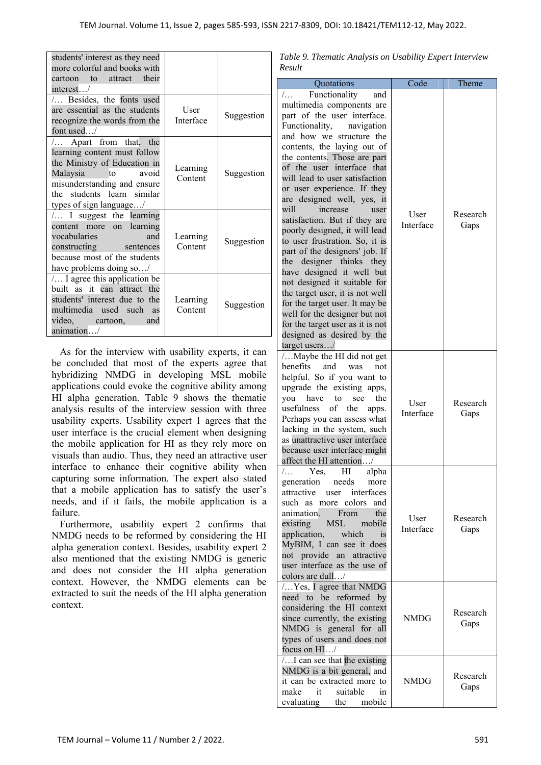| students' interest as they need<br>more colorful and books with<br>cartoon to attract their<br>interest/                                                                                             |                     |            |
|------------------------------------------------------------------------------------------------------------------------------------------------------------------------------------------------------|---------------------|------------|
| Besides, the fonts used<br>are essential as the students<br>recognize the words from the<br>font used/                                                                                               | User<br>Interface   | Suggestion |
| Apart from that, the<br>learning content must follow<br>the Ministry of Education in<br>Malaysia to<br>avoid<br>misunderstanding and ensure<br>the students learn similar<br>types of sign language/ | Learning<br>Content | Suggestion |
| $/$ I suggest the learning<br>content more on learning<br>vocabularies<br>and<br>constructing sentences<br>because most of the students<br>have problems doing so/                                   | Learning<br>Content | Suggestion |
| / I agree this application be<br>built as it can attract the<br>students' interest due to the<br>multimedia used such as<br>video, cartoon,<br>and<br>animation/                                     | Learning<br>Content | Suggestion |

As for the interview with usability experts, it can be concluded that most of the experts agree that hybridizing NMDG in developing MSL mobile applications could evoke the cognitive ability among HI alpha generation. Table 9 shows the thematic analysis results of the interview session with three usability experts. Usability expert 1 agrees that the user interface is the crucial element when designing the mobile application for HI as they rely more on visuals than audio. Thus, they need an attractive user interface to enhance their cognitive ability when capturing some information. The expert also stated that a mobile application has to satisfy the user's needs, and if it fails, the mobile application is a failure.

Furthermore, usability expert 2 confirms that NMDG needs to be reformed by considering the HI alpha generation context. Besides, usability expert 2 also mentioned that the existing NMDG is generic and does not consider the HI alpha generation context. However, the NMDG elements can be extracted to suit the needs of the HI alpha generation context.

*Table 9. Thematic Analysis on Usability Expert Interview Result* 

|                                                                                                                                                                                                                                                                                                                                                                                                                                                                                                                                                                                                                                                                                                                                                                      | Code              |                  |
|----------------------------------------------------------------------------------------------------------------------------------------------------------------------------------------------------------------------------------------------------------------------------------------------------------------------------------------------------------------------------------------------------------------------------------------------------------------------------------------------------------------------------------------------------------------------------------------------------------------------------------------------------------------------------------------------------------------------------------------------------------------------|-------------------|------------------|
| Quotations<br>Functionality<br>$/$<br>and                                                                                                                                                                                                                                                                                                                                                                                                                                                                                                                                                                                                                                                                                                                            |                   | Theme            |
| multimedia components are<br>part of the user interface.<br>Functionality,<br>navigation<br>and how we structure the<br>contents, the laying out of<br>the contents. Those are part<br>of the user interface that<br>will lead to user satisfaction<br>or user experience. If they<br>are designed well, yes, it<br>will<br>increase<br>user<br>satisfaction. But if they are<br>poorly designed, it will lead<br>to user frustration. So, it is<br>part of the designers' job. If<br>the designer thinks they<br>have designed it well but<br>not designed it suitable for<br>the target user, it is not well<br>for the target user. It may be<br>well for the designer but not<br>for the target user as it is not<br>designed as desired by the<br>target users/ | User<br>Interface | Research<br>Gaps |
| Maybe the HI did not get<br>benefits<br>and<br>was<br>not<br>helpful. So if you want to<br>upgrade the existing apps,<br>the<br>you<br>have<br>to<br>see<br><sub>of</sub><br>usefulness<br>the<br>apps.<br>Perhaps you can assess what<br>lacking in the system, such<br>as unattractive user interface<br>because user interface might<br>affect the HI attention/                                                                                                                                                                                                                                                                                                                                                                                                  | User<br>Interface | Research<br>Gaps |
| Yes,<br>alpha<br>/<br>HI<br>needs<br>generation<br>more<br>attractive<br>user interfaces<br>such as more colors<br>and<br>From<br>the<br>animation.<br>MSL mobile<br>existing<br>application,<br>which<br><i>is</i><br>MyBIM, I can see it does<br>not provide an attractive<br>user interface as the use of<br>colors are dull/                                                                                                                                                                                                                                                                                                                                                                                                                                     | User<br>Interface | Research<br>Gaps |
| Yes, I agree that NMDG<br>need to be reformed by<br>considering the HI context<br>since currently, the existing<br>NMDG is general for all<br>types of users and does not<br>focus on HI/                                                                                                                                                                                                                                                                                                                                                                                                                                                                                                                                                                            | <b>NMDG</b>       | Research<br>Gaps |
| I can see that the existing<br>NMDG is a bit general, and<br>it can be extracted more to<br>make<br>suitable<br>it<br>in<br>mobile<br>evaluating the                                                                                                                                                                                                                                                                                                                                                                                                                                                                                                                                                                                                                 | NMDG              | Research<br>Gaps |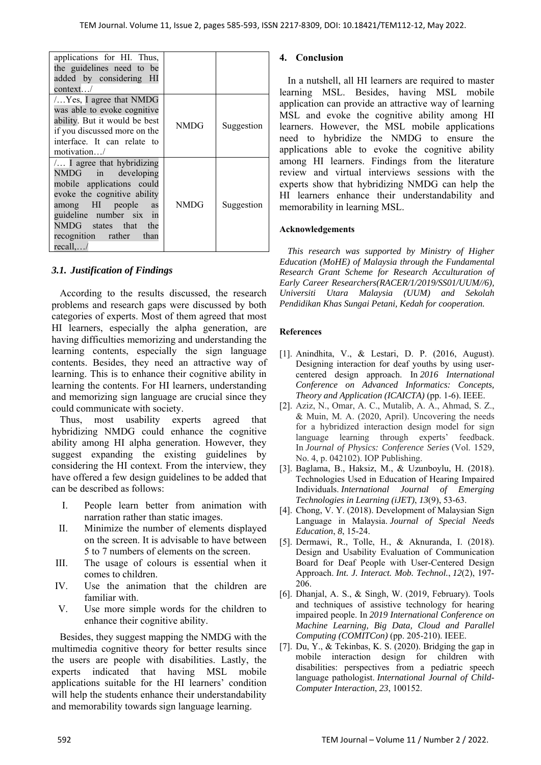| applications for HI. Thus,<br>the guidelines need to be<br>added by considering HI<br>context/                                                                                                                                    |      |            |
|-----------------------------------------------------------------------------------------------------------------------------------------------------------------------------------------------------------------------------------|------|------------|
| $/$ Yes, I agree that NMDG<br>was able to evoke cognitive<br>ability. But it would be best<br>if you discussed more on the<br>interface. It can relate to<br>motion/                                                              | NMDG | Suggestion |
| $/$ I agree that hybridizing<br>NMDG in developing<br>mobile applications could<br>evoke the cognitive ability<br>among HI people<br>as<br>guideline number six in<br>NMDG states that the<br>recognition rather than<br>recall,/ | NMDG | Suggestion |

## *3.1. Justification of Findings*

According to the results discussed, the research problems and research gaps were discussed by both categories of experts. Most of them agreed that most HI learners, especially the alpha generation, are having difficulties memorizing and understanding the learning contents, especially the sign language contents. Besides, they need an attractive way of learning. This is to enhance their cognitive ability in learning the contents. For HI learners, understanding and memorizing sign language are crucial since they could communicate with society.

Thus, most usability experts agreed that hybridizing NMDG could enhance the cognitive ability among HI alpha generation. However, they suggest expanding the existing guidelines by considering the HI context. From the interview, they have offered a few design guidelines to be added that can be described as follows:

- I. People learn better from animation with narration rather than static images.
- II. Minimize the number of elements displayed on the screen. It is advisable to have between 5 to 7 numbers of elements on the screen.
- III. The usage of colours is essential when it comes to children.
- IV. Use the animation that the children are familiar with.
- V. Use more simple words for the children to enhance their cognitive ability.

Besides, they suggest mapping the NMDG with the multimedia cognitive theory for better results since the users are people with disabilities. Lastly, the experts indicated that having MSL mobile applications suitable for the HI learners' condition will help the students enhance their understandability and memorability towards sign language learning.

## **4. Conclusion**

In a nutshell, all HI learners are required to master learning MSL. Besides, having MSL mobile application can provide an attractive way of learning MSL and evoke the cognitive ability among HI learners. However, the MSL mobile applications need to hybridize the NMDG to ensure the applications able to evoke the cognitive ability among HI learners. Findings from the literature review and virtual interviews sessions with the experts show that hybridizing NMDG can help the HI learners enhance their understandability and memorability in learning MSL.

## **Acknowledgements**

*This research was supported by Ministry of Higher Education (MoHE) of Malaysia through the Fundamental Research Grant Scheme for Research Acculturation of Early Career Researchers(RACER/1/2019/SS01/UUM//6), Universiti Utara Malaysia (UUM) and Sekolah Pendidikan Khas Sungai Petani, Kedah for cooperation.* 

## **References**

- [1]. Anindhita, V., & Lestari, D. P. (2016, August). Designing interaction for deaf youths by using usercentered design approach. In *2016 International Conference on Advanced Informatics: Concepts, Theory and Application (ICAICTA)* (pp. 1-6). IEEE.
- [2]. Aziz, N., Omar, A. C., Mutalib, A. A., Ahmad, S. Z., & Muin, M. A. (2020, April). Uncovering the needs for a hybridized interaction design model for sign language learning through experts' feedback. In *Journal of Physics: Conference Series* (Vol. 1529, No. 4, p. 042102). IOP Publishing.
- [3]. Baglama, B., Haksiz, M., & Uzunboylu, H. (2018). Technologies Used in Education of Hearing Impaired Individuals. *International Journal of Emerging Technologies in Learning (iJET)*, *13*(9), 53-63.
- [4]. Chong, V. Y. (2018). Development of Malaysian Sign Language in Malaysia. *Journal of Special Needs Education*, *8*, 15-24.
- [5]. Dermawi, R., Tolle, H., & Aknuranda, I. (2018). Design and Usability Evaluation of Communication Board for Deaf People with User-Centered Design Approach. *Int. J. Interact. Mob. Technol.*, *12*(2), 197- 206.
- [6]. Dhanjal, A. S., & Singh, W. (2019, February). Tools and techniques of assistive technology for hearing impaired people. In *2019 International Conference on Machine Learning, Big Data, Cloud and Parallel Computing (COMITCon)* (pp. 205-210). IEEE.
- [7]. Du, Y., & Tekinbas, K. S. (2020). Bridging the gap in mobile interaction design for children with disabilities: perspectives from a pediatric speech language pathologist. *International Journal of Child-Computer Interaction*, *23*, 100152.